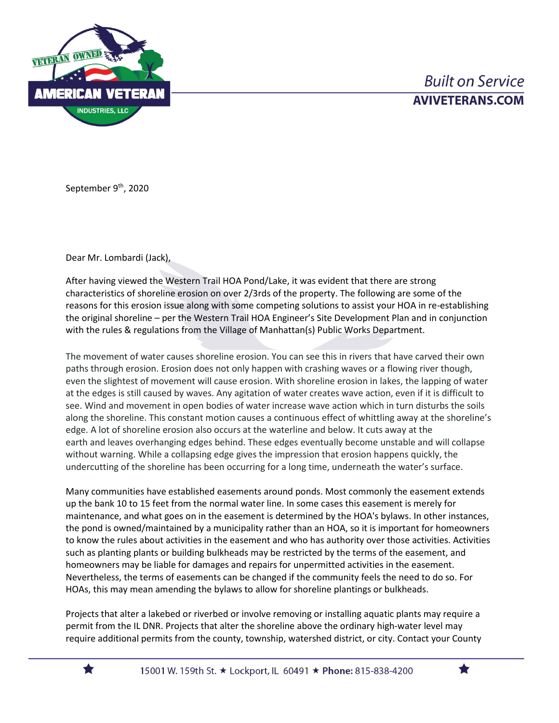

## **Built on Service AVIVETERANS.COM**

September 9<sup>th</sup>, 2020

Dear Mr. Lombardi (Jack),

After having viewed the Western Trail HOA Pond/Lake, it was evident that there are strong characteristics of shoreline erosion on over 2/3rds of the property. The following are some of the reasons for this erosion issue along with some competing solutions to assist your HOA in re-establishing the original shoreline – per the Western Trail HOA Engineer's Site Development Plan and in conjunction with the rules & regulations from the Village of Manhattan(s) Public Works Department.

The movement of water causes shoreline erosion. You can see this in rivers that have carved their own paths through erosion. Erosion does not only happen with crashing waves or a flowing river though, even the slightest of movement will cause erosion. With shoreline erosion in lakes, the lapping of water at the edges is still caused by waves. Any agitation of water creates wave action, even if it is difficult to see. Wind and movement in open bodies of water increase wave action which in turn disturbs the soils along the shoreline. This constant motion causes a continuous effect of whittling away at the shoreline's edge. A lot of shoreline erosion also occurs at the waterline and below. It cuts away at the earth and leaves overhanging edges behind. These edges eventually become unstable and will collapse without warning. While a collapsing edge gives the impression that erosion happens quickly, the undercutting of the shoreline has been occurring for a long time, underneath the water's surface.

Many communities have established easements around ponds. Most commonly the easement extends up the bank 10 to 15 feet from the normal water line. In some cases this easement is merely for maintenance, and what goes on in the easement is determined by the HOA's bylaws. In other instances, the pond is owned/maintained by a municipality rather than an HOA, so it is important for homeowners to know the rules about activities in the easement and who has authority over those activities. Activities such as planting plants or building bulkheads may be restricted by the terms of the easement, and homeowners may be liable for damages and repairs for unpermitted activities in the easement. Nevertheless, the terms of easements can be changed if the community feels the need to do so. For HOAs, this may mean amending the bylaws to allow for shoreline plantings or bulkheads.

Projects that alter a lakebed or riverbed or involve removing or installing aquatic plants may require a permit from the IL DNR. Projects that alter the shoreline above the ordinary high-water level may require additional permits from the county, township, watershed district, or city. Contact your County

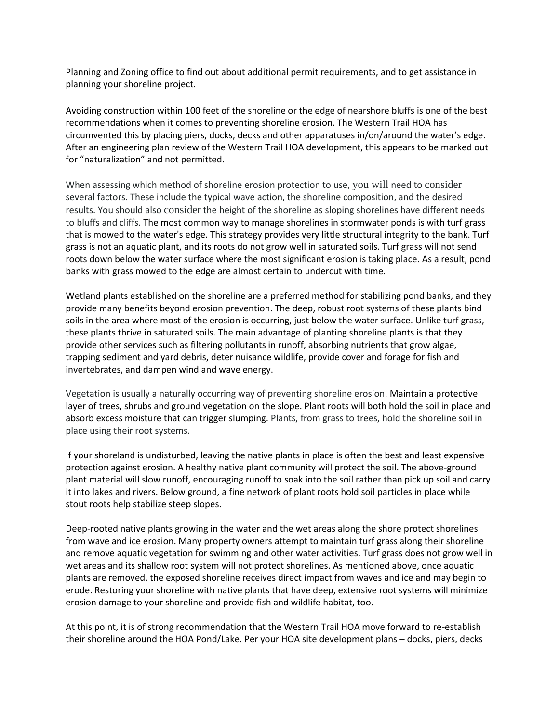Planning and Zoning office to find out about additional permit requirements, and to get assistance in planning your shoreline project.

Avoiding construction within 100 feet of the shoreline or the edge of nearshore bluffs is one of the best recommendations when it comes to preventing shoreline erosion. The Western Trail HOA has circumvented this by placing piers, docks, decks and other apparatuses in/on/around the water's edge. After an engineering plan review of the Western Trail HOA development, this appears to be marked out for "naturalization" and not permitted.

When assessing which method of shoreline erosion protection to use, you will need to consider several factors. These include the typical wave action, the shoreline composition, and the desired results. You should also consider the height of the shoreline as sloping shorelines have different needs to bluffs and cliffs. The most common way to manage shorelines in stormwater ponds is with turf grass that is mowed to the water's edge. This strategy provides very little structural integrity to the bank. Turf grass is not an aquatic plant, and its roots do not grow well in saturated soils. Turf grass will not send roots down below the water surface where the most significant erosion is taking place. As a result, pond banks with grass mowed to the edge are almost certain to undercut with time.

Wetland plants established on the shoreline are a preferred method for stabilizing pond banks, and they provide many benefits beyond erosion prevention. The deep, robust root systems of these plants bind soils in the area where most of the erosion is occurring, just below the water surface. Unlike turf grass, these plants thrive in saturated soils. The main advantage of planting shoreline plants is that they provide other services such as filtering pollutants in runoff, absorbing nutrients that grow algae, trapping sediment and yard debris, deter nuisance wildlife, provide cover and forage for fish and invertebrates, and dampen wind and wave energy.

Vegetation is usually a naturally occurring way of preventing shoreline erosion. Maintain a protective layer of trees, shrubs and ground vegetation on the slope. Plant roots will both hold the soil in place and absorb excess moisture that can trigger slumping. Plants, from grass to trees, hold the shoreline soil in place using their root systems.

If your shoreland is undisturbed, leaving the native plants in place is often the best and least expensive protection against erosion. A healthy native plant community will protect the soil. The above-ground plant material will slow runoff, encouraging runoff to soak into the soil rather than pick up soil and carry it into lakes and rivers. Below ground, a fine network of plant roots hold soil particles in place while stout roots help stabilize steep slopes.

Deep-rooted native plants growing in the water and the wet areas along the shore protect shorelines from wave and ice erosion. Many property owners attempt to maintain turf grass along their shoreline and remove aquatic vegetation for swimming and other water activities. Turf grass does not grow well in wet areas and its shallow root system will not protect shorelines. As mentioned above, once aquatic plants are removed, the exposed shoreline receives direct impact from waves and ice and may begin to erode. Restoring your shoreline with native plants that have deep, extensive root systems will minimize erosion damage to your shoreline and provide fish and wildlife habitat, too.

At this point, it is of strong recommendation that the Western Trail HOA move forward to re-establish their shoreline around the HOA Pond/Lake. Per your HOA site development plans – docks, piers, decks